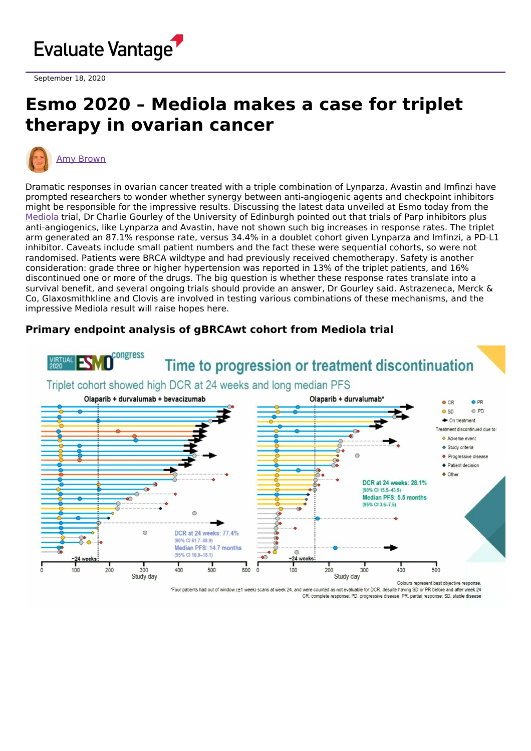

September 18, 2020

## **Esmo 2020 – Mediola makes a case for triplet therapy in ovarian cancer**



Dramatic responses in ovarian cancer treated with a triple combination of Lynparza, Avastin and Imfinzi have prompted researchers to wonder whether synergy between anti-angiogenic agents and checkpoint inhibitors might be responsible for the impressive results. Discussing the latest data unveiled at Esmo today from the [Mediola](https://clinicaltrials.gov/ct2/show/NCT02734004) trial, Dr Charlie Gourley of the University of Edinburgh pointed out that trials of Parp inhibitors plus anti-angiogenics, like Lynparza and Avastin, have not shown such big increases in response rates. The triplet arm generated an 87.1% response rate, versus 34.4% in a doublet cohort given Lynparza and Imfinzi, a PD-L1 inhibitor. Caveats include small patient numbers and the fact these were sequential cohorts, so were not randomised. Patients were BRCA wildtype and had previously received chemotherapy. Safety is another consideration: grade three or higher hypertension was reported in 13% of the triplet patients, and 16% discontinued one or more of the drugs. The big question is whether these response rates translate into a survival benefit, and several ongoing trials should provide an answer, Dr Gourley said. Astrazeneca, Merck & Co, Glaxosmithkline and Clovis are involved in testing various combinations of these mechanisms, and the impressive Mediola result will raise hopes here.

## **Primary endpoint analysis of gBRCAwt cohort from Mediola trial**



\*Four patients had out of window (±1 week) scans at week 24, and were counted as not evaluable for DCR, despite having SD or PR before and after week 24 CR, complete response; PD, progressive disease; PR, partial response; SD, stable disease